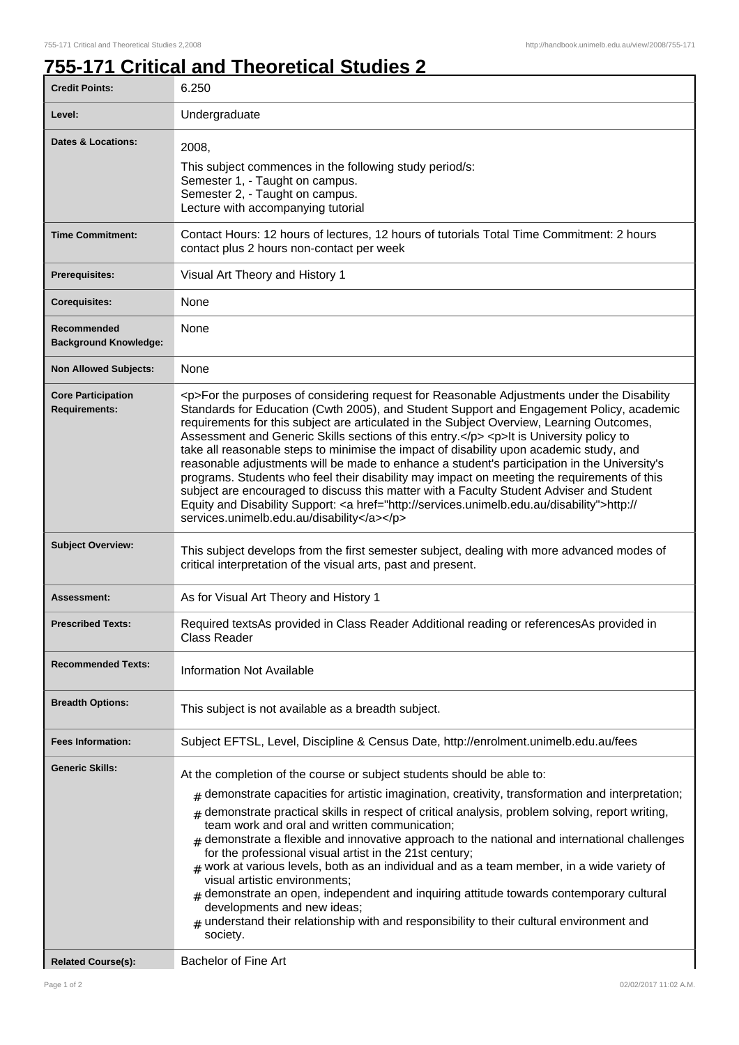## **755-171 Critical and Theoretical Studies 2**

| <b>Credit Points:</b>                             | 6.250                                                                                                                                                                                                                                                                                                                                                                                                                                                                                                                                                                                                                                                                                                                                                                                                                                                                                                                                            |
|---------------------------------------------------|--------------------------------------------------------------------------------------------------------------------------------------------------------------------------------------------------------------------------------------------------------------------------------------------------------------------------------------------------------------------------------------------------------------------------------------------------------------------------------------------------------------------------------------------------------------------------------------------------------------------------------------------------------------------------------------------------------------------------------------------------------------------------------------------------------------------------------------------------------------------------------------------------------------------------------------------------|
| Level:                                            | Undergraduate                                                                                                                                                                                                                                                                                                                                                                                                                                                                                                                                                                                                                                                                                                                                                                                                                                                                                                                                    |
| Dates & Locations:                                | 2008,<br>This subject commences in the following study period/s:<br>Semester 1, - Taught on campus.<br>Semester 2, - Taught on campus.<br>Lecture with accompanying tutorial                                                                                                                                                                                                                                                                                                                                                                                                                                                                                                                                                                                                                                                                                                                                                                     |
| <b>Time Commitment:</b>                           | Contact Hours: 12 hours of lectures, 12 hours of tutorials Total Time Commitment: 2 hours<br>contact plus 2 hours non-contact per week                                                                                                                                                                                                                                                                                                                                                                                                                                                                                                                                                                                                                                                                                                                                                                                                           |
| <b>Prerequisites:</b>                             | Visual Art Theory and History 1                                                                                                                                                                                                                                                                                                                                                                                                                                                                                                                                                                                                                                                                                                                                                                                                                                                                                                                  |
| <b>Corequisites:</b>                              | None                                                                                                                                                                                                                                                                                                                                                                                                                                                                                                                                                                                                                                                                                                                                                                                                                                                                                                                                             |
| Recommended<br><b>Background Knowledge:</b>       | None                                                                                                                                                                                                                                                                                                                                                                                                                                                                                                                                                                                                                                                                                                                                                                                                                                                                                                                                             |
| <b>Non Allowed Subjects:</b>                      | None                                                                                                                                                                                                                                                                                                                                                                                                                                                                                                                                                                                                                                                                                                                                                                                                                                                                                                                                             |
| <b>Core Participation</b><br><b>Requirements:</b> | <p>For the purposes of considering request for Reasonable Adjustments under the Disability<br/>Standards for Education (Cwth 2005), and Student Support and Engagement Policy, academic<br/>requirements for this subject are articulated in the Subject Overview, Learning Outcomes,<br/>Assessment and Generic Skills sections of this entry.</p> <p> <p> <h>&gt;It is University policy to<br/>take all reasonable steps to minimise the impact of disability upon academic study, and<br/>reasonable adjustments will be made to enhance a student's participation in the University's<br/>programs. Students who feel their disability may impact on meeting the requirements of this<br/>subject are encouraged to discuss this matter with a Faculty Student Adviser and Student<br/>Equity and Disability Support: &lt; a href="http://services.unimelb.edu.au/disability"&gt;http://<br/>services.unimelb.edu.au/disability</h></p></p> |
| <b>Subject Overview:</b>                          | This subject develops from the first semester subject, dealing with more advanced modes of<br>critical interpretation of the visual arts, past and present.                                                                                                                                                                                                                                                                                                                                                                                                                                                                                                                                                                                                                                                                                                                                                                                      |
| Assessment:                                       | As for Visual Art Theory and History 1                                                                                                                                                                                                                                                                                                                                                                                                                                                                                                                                                                                                                                                                                                                                                                                                                                                                                                           |
| <b>Prescribed Texts:</b>                          | Required textsAs provided in Class Reader Additional reading or referencesAs provided in<br>Class Reader                                                                                                                                                                                                                                                                                                                                                                                                                                                                                                                                                                                                                                                                                                                                                                                                                                         |
| <b>Recommended Texts:</b>                         | <b>Information Not Available</b>                                                                                                                                                                                                                                                                                                                                                                                                                                                                                                                                                                                                                                                                                                                                                                                                                                                                                                                 |
| <b>Breadth Options:</b>                           | This subject is not available as a breadth subject.                                                                                                                                                                                                                                                                                                                                                                                                                                                                                                                                                                                                                                                                                                                                                                                                                                                                                              |
| <b>Fees Information:</b>                          | Subject EFTSL, Level, Discipline & Census Date, http://enrolment.unimelb.edu.au/fees                                                                                                                                                                                                                                                                                                                                                                                                                                                                                                                                                                                                                                                                                                                                                                                                                                                             |
| <b>Generic Skills:</b>                            | At the completion of the course or subject students should be able to:<br>demonstrate capacities for artistic imagination, creativity, transformation and interpretation;<br>#<br>demonstrate practical skills in respect of critical analysis, problem solving, report writing,<br>#<br>team work and oral and written communication;<br>demonstrate a flexible and innovative approach to the national and international challenges<br>for the professional visual artist in the 21st century;<br>work at various levels, both as an individual and as a team member, in a wide variety of<br>visual artistic environments;<br>demonstrate an open, independent and inquiring attitude towards contemporary cultural<br>developments and new ideas;<br>understand their relationship with and responsibility to their cultural environment and<br>society.                                                                                     |
| <b>Related Course(s):</b>                         | <b>Bachelor of Fine Art</b>                                                                                                                                                                                                                                                                                                                                                                                                                                                                                                                                                                                                                                                                                                                                                                                                                                                                                                                      |